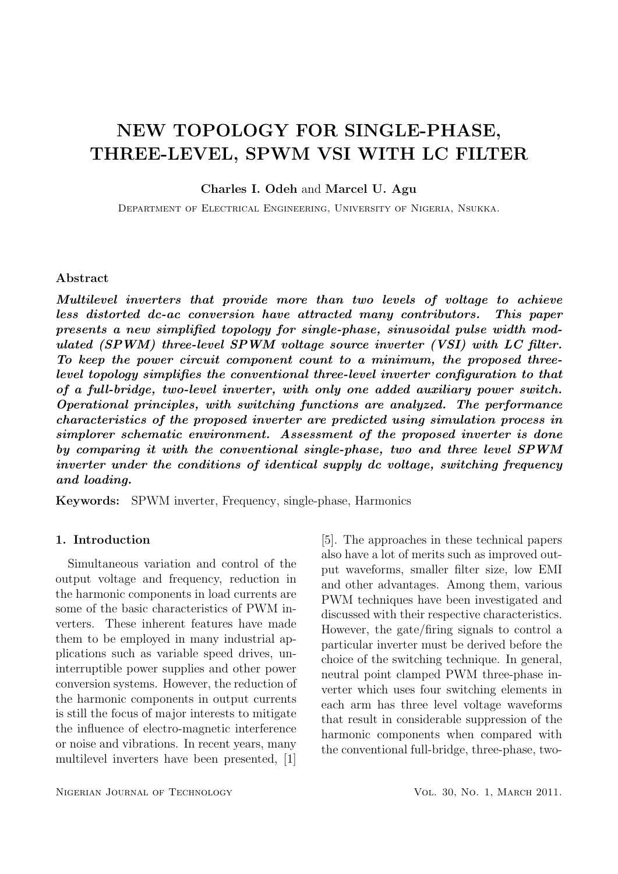# NEW TOPOLOGY FOR SINGLE-PHASE, THREE-LEVEL, SPWM VSI WITH LC FILTER

Charles I. Odeh and Marcel U. Agu

Department of Electrical Engineering, University of Nigeria, Nsukka.

### Abstract

Multilevel inverters that provide more than two levels of voltage to achieve less distorted dc-ac conversion have attracted many contributors. This paper presents a new simplified topology for single-phase, sinusoidal pulse width modulated (SPWM) three-level SPWM voltage source inverter (VSI) with LC filter. To keep the power circuit component count to a minimum, the proposed threelevel topology simplifies the conventional three-level inverter configuration to that of a full-bridge, two-level inverter, with only one added auxiliary power switch. Operational principles, with switching functions are analyzed. The performance characteristics of the proposed inverter are predicted using simulation process in simplorer schematic environment. Assessment of the proposed inverter is done by comparing it with the conventional single-phase, two and three level SPWM inverter under the conditions of identical supply dc voltage, switching frequency and loading.

Keywords: SPWM inverter, Frequency, single-phase, Harmonics

# 1. Introduction

Simultaneous variation and control of the output voltage and frequency, reduction in the harmonic components in load currents are some of the basic characteristics of PWM inverters. These inherent features have made them to be employed in many industrial applications such as variable speed drives, uninterruptible power supplies and other power conversion systems. However, the reduction of the harmonic components in output currents is still the focus of major interests to mitigate the influence of electro-magnetic interference or noise and vibrations. In recent years, many multilevel inverters have been presented, [1]

NIGERIAN JOURNAL OF TECHNOLOGY VOL. 30, NO. 1, MARCH 2011.

[5]. The approaches in these technical papers also have a lot of merits such as improved output waveforms, smaller filter size, low EMI and other advantages. Among them, various PWM techniques have been investigated and discussed with their respective characteristics. However, the gate/firing signals to control a particular inverter must be derived before the choice of the switching technique. In general, neutral point clamped PWM three-phase inverter which uses four switching elements in each arm has three level voltage waveforms that result in considerable suppression of the harmonic components when compared with the conventional full-bridge, three-phase, two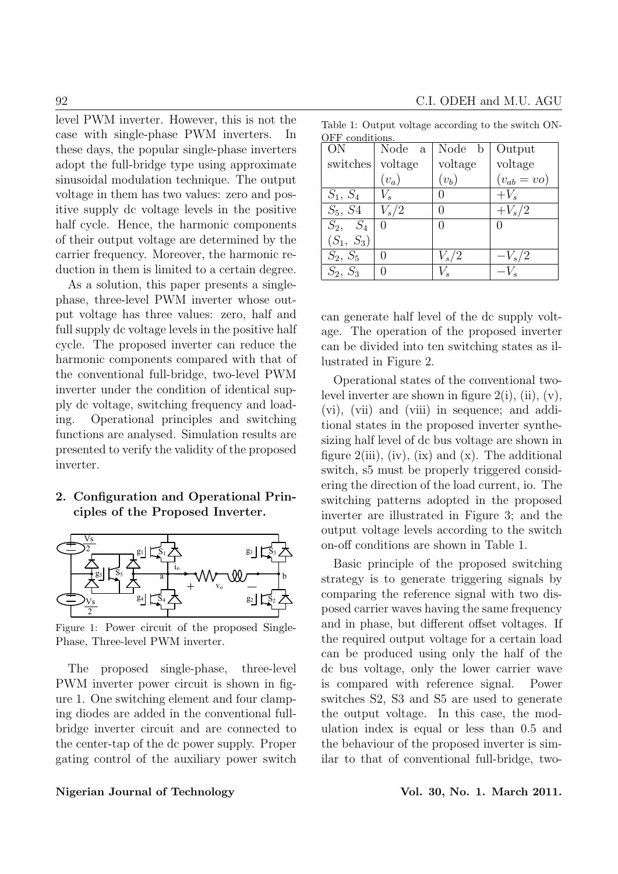level PWM inverter. However, this is not the case with single-phase PWM inverters. In these days, the popular single-phase inverters adopt the full-bridge type using approximate sinusoidal modulation technique. The output voltage in them has two values: zero and positive supply dc voltage levels in the positive half cycle. Hence, the harmonic components of their output voltage are determined by the carrier frequency. Moreover, the harmonic reduction in them is limited to a certain degree.

As a solution, this paper presents a singlephase, three-level PWM inverter whose output voltage has three values: zero, half and full supply dc voltage levels in the positive half cycle. The proposed inverter can reduce the harmonic components compared with that of the conventional full-bridge, two-level PWM inverter under the condition of identical supply dc voltage, switching frequency and loading. Operational principles and switching functions are analysed. Simulation results are presented to verify the validity of the proposed inverter.

# 2. Configuration and Operational Principles of the Proposed Inverter.



Figure 1: Power circuit of the proposed Single-Phase, Three-level PWM inverter.

The proposed single-phase, three-level PWM inverter power circuit is shown in figure 1. One switching element and four clamping diodes are added in the conventional fullbridge inverter circuit and are connected to the center-tap of the dc power supply. Proper gating control of the auxiliary power switch

| OFF conditions. |         |                  |                 |
|-----------------|---------|------------------|-----------------|
| ON              | Node a  | Node b           | Output          |
| switches        | voltage | voltage          | voltage         |
|                 | $(v_a)$ | $(v_b)$          | $(v_{ab} = vo)$ |
| $S_1, S_4$      |         |                  | $+V_s$          |
| $S_5, S_4$      | $V_s/2$ |                  | $+V_s/2$        |
| $S_2$ , $S_4$   |         | $\left( \right)$ | 0               |
| $(S_1, S_3)$    |         |                  |                 |
| $S_2, S_5$      |         | $V_s/2$          | $-V_s/2$        |
| $S_2, S_3$      |         |                  | $-V_{\rm s}$    |

Table 1: Output voltage according to the switch ON-

can generate half level of the dc supply voltage. The operation of the proposed inverter can be divided into ten switching states as illustrated in Figure 2.

Operational states of the conventional twolevel inverter are shown in figure  $2(i)$ , (ii), (v), (vi), (vii) and (viii) in sequence; and additional states in the proposed inverter synthesizing half level of dc bus voltage are shown in figure  $2(iii)$ , (iv), (ix) and (x). The additional switch, s5 must be properly triggered considering the direction of the load current, io. The switching patterns adopted in the proposed inverter are illustrated in Figure 3; and the output voltage levels according to the switch on-off conditions are shown in Table 1.

Basic principle of the proposed switching strategy is to generate triggering signals by comparing the reference signal with two disposed carrier waves having the same frequency and in phase, but different offset voltages. If the required output voltage for a certain load can be produced using only the half of the dc bus voltage, only the lower carrier wave is compared with reference signal. Power switches S2, S3 and S5 are used to generate the output voltage. In this case, the modulation index is equal or less than 0.5 and the behaviour of the proposed inverter is similar to that of conventional full-bridge, two-

# Nigerian Journal of Technology Vol. 30, No. 1. March 2011.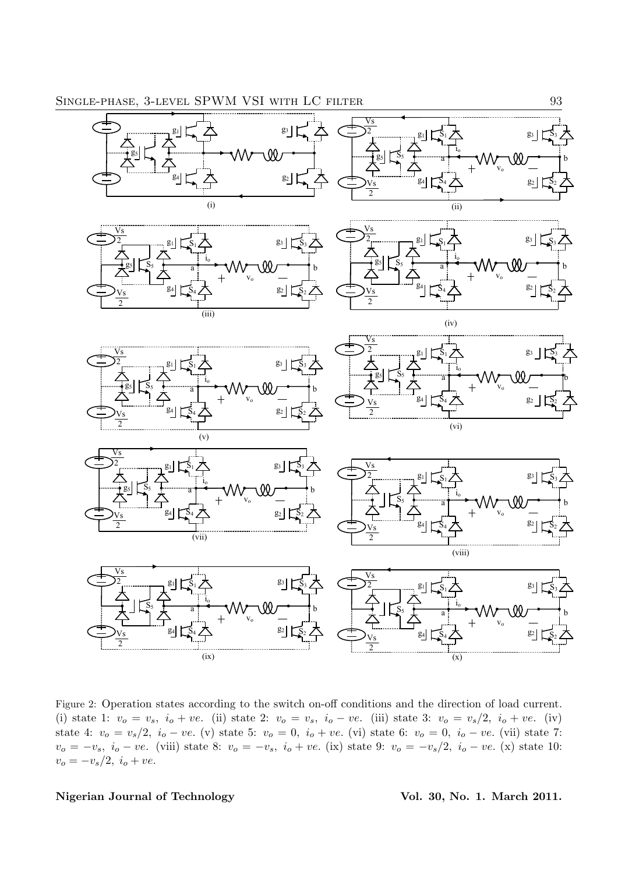

 Figure 2: Operation states according to the switch on-off conditions and the direction of load current. (i) state 1:  $v_o = v_s$ ,  $i_o + ve$ . (ii) state 2:  $v_o = v_s$ ,  $i_o - ve$ . (iii) state 3:  $v_o = v_s/2$ ,  $i_o + ve$ . (iv) state 4:  $v_o = v_s/2$ ,  $i_o - ve$ . (v) state 5:  $v_o = 0$ ,  $i_o + ve$ . (vi) state 6:  $v_o = 0$ ,  $i_o - ve$ . (vii) state 7:  $v_o = -v_s$ ,  $i_o - ve$ . (viii) state 8:  $v_o = -v_s$ ,  $i_o + ve$ . (ix) state 9:  $v_o = -v_s/2$ ,  $i_o - ve$ . (x) state 10:  $v_o = -v_s/2, i_o + ve.$ 

Nigerian Journal of Technology (Vol. 30, No. 1. March 2011.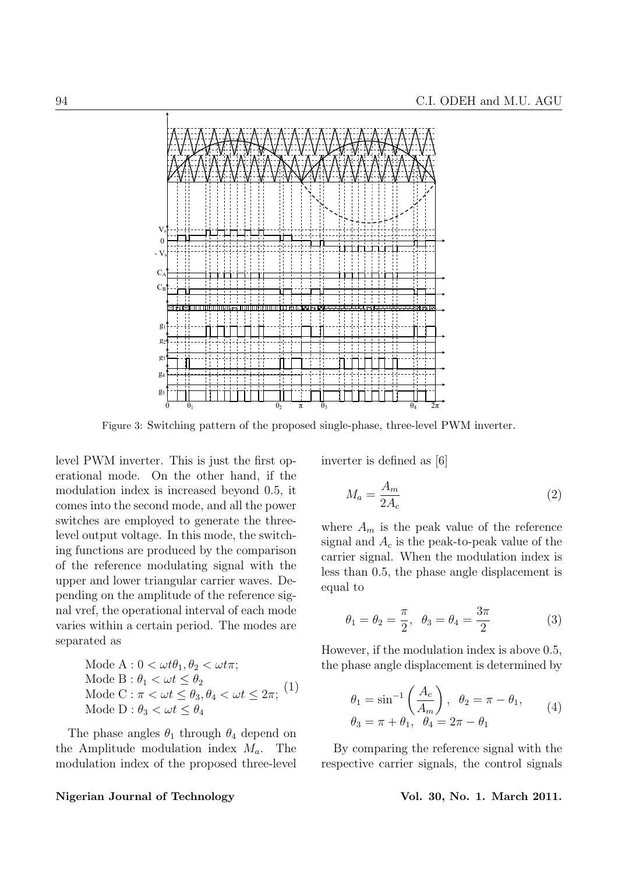

Figure 3: Switching pattern of the proposed single-phase, three-level PWM inverter.

level PWM inverter. This is just the first operational mode. On the other hand, if the modulation index is increased beyond 0.5, it comes into the second mode, and all the power switches are employed to generate the threelevel output voltage. In this mode, the switching functions are produced by the comparison of the reference modulating signal with the upper and lower triangular carrier waves. Depending on the amplitude of the reference signal vref, the operational interval of each mode varies within a certain period. The modes are separated as

Mode A : 
$$
0 < \omega t \theta_1
$$
,  $\theta_2 < \omega t \pi$ ;  
Mode B :  $\theta_1 < \omega t \le \theta_2$   
Mode C :  $\pi < \omega t \le \theta_3$ ,  $\theta_4 < \omega t \le 2\pi$ ; (1)  
Mode D :  $\theta_3 < \omega t \le \theta_4$ 

The phase angles  $\theta_1$  through  $\theta_4$  depend on the Amplitude modulation index  $M_a$ . The modulation index of the proposed three-level

### Nigerian Journal of Technology Vol. 30, No. 1. March 2011.

inverter is defined as [6]

$$
M_a = \frac{A_m}{2A_c} \tag{2}
$$

where  $A_m$  is the peak value of the reference signal and  $A_c$  is the peak-to-peak value of the carrier signal. When the modulation index is less than 0.5, the phase angle displacement is equal to

$$
\theta_1 = \theta_2 = \frac{\pi}{2}, \ \theta_3 = \theta_4 = \frac{3\pi}{2}
$$
\n(3)

However, if the modulation index is above 0.5, the phase angle displacement is determined by

$$
\theta_1 = \sin^{-1}\left(\frac{A_c}{A_m}\right), \ \ \theta_2 = \pi - \theta_1, \n\theta_3 = \pi + \theta_1, \ \ \theta_4 = 2\pi - \theta_1
$$
\n(4)

By comparing the reference signal with the respective carrier signals, the control signals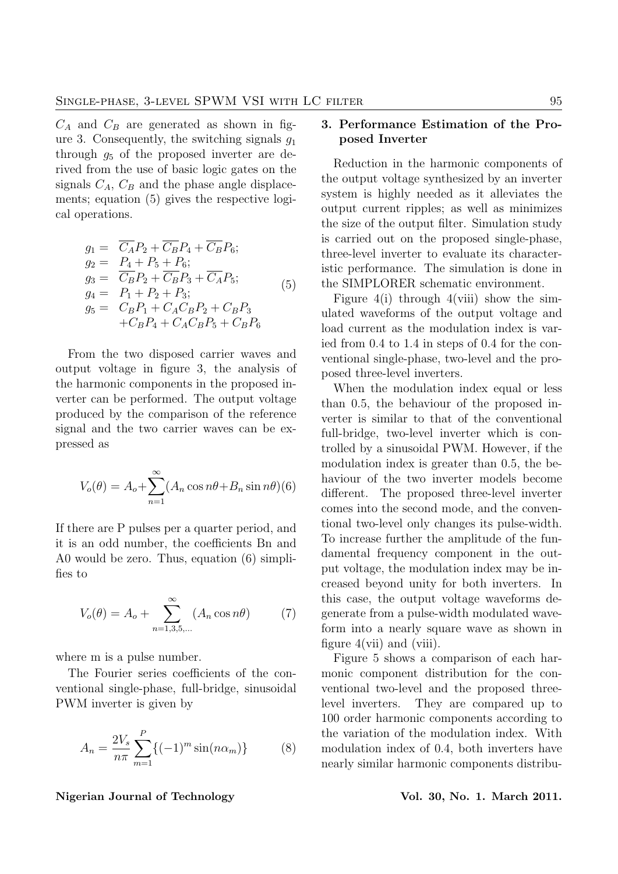$C_A$  and  $C_B$  are generated as shown in figure 3. Consequently, the switching signals  $g_1$ through  $g_5$  of the proposed inverter are derived from the use of basic logic gates on the signals  $C_A$ ,  $C_B$  and the phase angle displacements; equation (5) gives the respective logical operations.

$$
g_1 = \overline{C_A}P_2 + \overline{C_B}P_4 + \overline{C_B}P_6; g_2 = P_4 + P_5 + P_6; g_3 = \overline{C_B}P_2 + \overline{C_B}P_3 + \overline{C_A}P_5; g_4 = P_1 + P_2 + P_3; g_5 = C_BP_1 + C_AC_BP_2 + C_BP_3 + C_BP_4 + C_AC_BP_5 + C_BP_6
$$
 (5)

From the two disposed carrier waves and output voltage in figure 3, the analysis of the harmonic components in the proposed inverter can be performed. The output voltage produced by the comparison of the reference signal and the two carrier waves can be expressed as

$$
V_o(\theta) = A_o + \sum_{n=1}^{\infty} (A_n \cos n\theta + B_n \sin n\theta)(6)
$$

If there are P pulses per a quarter period, and it is an odd number, the coefficients Bn and A0 would be zero. Thus, equation (6) simplifies to

$$
V_o(\theta) = A_o + \sum_{n=1,3,5,...}^{\infty} (A_n \cos n\theta)
$$
 (7)

where m is a pulse number.

The Fourier series coefficients of the conventional single-phase, full-bridge, sinusoidal PWM inverter is given by

$$
A_n = \frac{2V_s}{n\pi} \sum_{m=1}^{P} \{ (-1)^m \sin(n\alpha_m) \} \tag{8}
$$

# 3. Performance Estimation of the Proposed Inverter

Reduction in the harmonic components of the output voltage synthesized by an inverter system is highly needed as it alleviates the output current ripples; as well as minimizes the size of the output filter. Simulation study is carried out on the proposed single-phase, three-level inverter to evaluate its characteristic performance. The simulation is done in the SIMPLORER schematic environment.

Figure 4(i) through 4(viii) show the simulated waveforms of the output voltage and load current as the modulation index is varied from 0.4 to 1.4 in steps of 0.4 for the conventional single-phase, two-level and the proposed three-level inverters.

When the modulation index equal or less than 0.5, the behaviour of the proposed inverter is similar to that of the conventional full-bridge, two-level inverter which is controlled by a sinusoidal PWM. However, if the modulation index is greater than 0.5, the behaviour of the two inverter models become different. The proposed three-level inverter comes into the second mode, and the conventional two-level only changes its pulse-width. To increase further the amplitude of the fundamental frequency component in the output voltage, the modulation index may be increased beyond unity for both inverters. In this case, the output voltage waveforms degenerate from a pulse-width modulated waveform into a nearly square wave as shown in figure  $4(vii)$  and  $(viii)$ .

Figure 5 shows a comparison of each harmonic component distribution for the conventional two-level and the proposed threelevel inverters. They are compared up to 100 order harmonic components according to the variation of the modulation index. With modulation index of 0.4, both inverters have nearly similar harmonic components distribu-

### Nigerian Journal of Technology **Vol. 30, No. 1. March 2011**.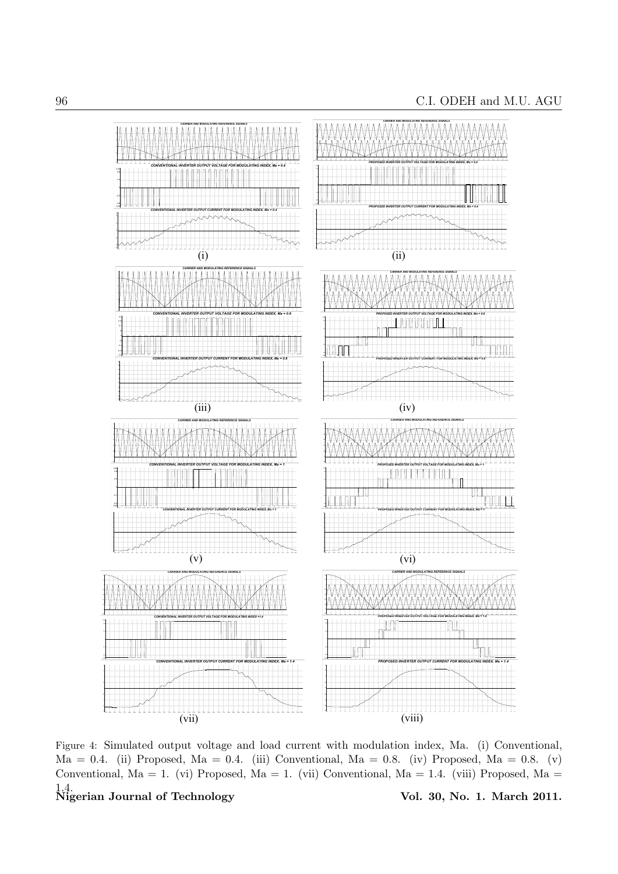

Figure 4: Simulated output voltage and load current with modulation index, Ma. (i) Conventional,  $Ma = 0.4$ . (ii) Proposed, Ma = 0.4. (iii) Conventional, Ma = 0.8. (iv) Proposed, Ma = 0.8. (v) Conventional, Ma = 1. (vi) Proposed, Ma = 1. (vii) Conventional, Ma = 1.4. (viii) Proposed, Ma =

 $1.4.$  Nigerian Journal of Technology

Vol. 30, No. 1. March 2011.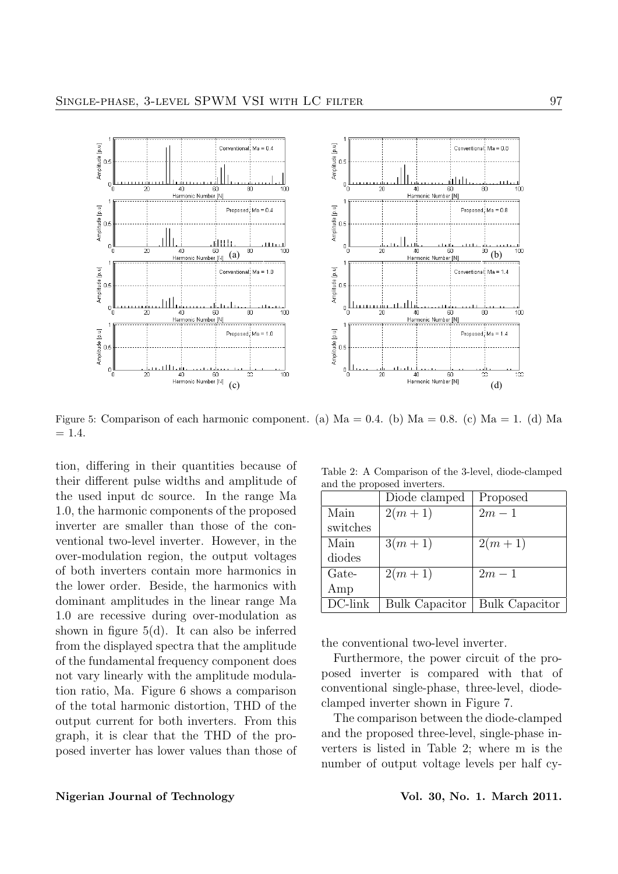

Figure 5: Comparison of each harmonic component. (a)  $Ma = 0.4$ . (b)  $Ma = 0.8$ . (c)  $Ma = 1$ . (d) Ma  $= 1.4.$ 

tion, differing in their quantities because of their different pulse widths and amplitude of the used input dc source. In the range Ma 1.0, the harmonic components of the proposed inverter are smaller than those of the conventional two-level inverter. However, in the over-modulation region, the output voltages of both inverters contain more harmonics in the lower order. Beside, the harmonics with dominant amplitudes in the linear range Ma 1.0 are recessive during over-modulation as shown in figure 5(d). It can also be inferred from the displayed spectra that the amplitude of the fundamental frequency component does not vary linearly with the amplitude modulation ratio, Ma. Figure 6 shows a comparison of the total harmonic distortion, THD of the output current for both inverters. From this graph, it is clear that the THD of the proposed inverter has lower values than those of

Table 2: A Comparison of the 3-level, diode-clamped and the proposed inverters.

|            | Diode clamped         | Proposed              |
|------------|-----------------------|-----------------------|
| Main       | $2(m+1)$              | $2m-1$                |
| switches   |                       |                       |
| Main       | $3(m+1)$              | $2(m+1)$              |
| diodes     |                       |                       |
| Gate-      | $2(m+1)$              | $2m-1$                |
| Amp        |                       |                       |
| $DC$ -link | <b>Bulk Capacitor</b> | <b>Bulk Capacitor</b> |

the conventional two-level inverter.

Furthermore, the power circuit of the proposed inverter is compared with that of conventional single-phase, three-level, diodeclamped inverter shown in Figure 7.

The comparison between the diode-clamped and the proposed three-level, single-phase inverters is listed in Table 2; where m is the number of output voltage levels per half cy-

# Nigerian Journal of Technology Vol. 30, No. 1. March 2011.

 $\tilde{10}$ r

n<br>100

- 7<br>100

100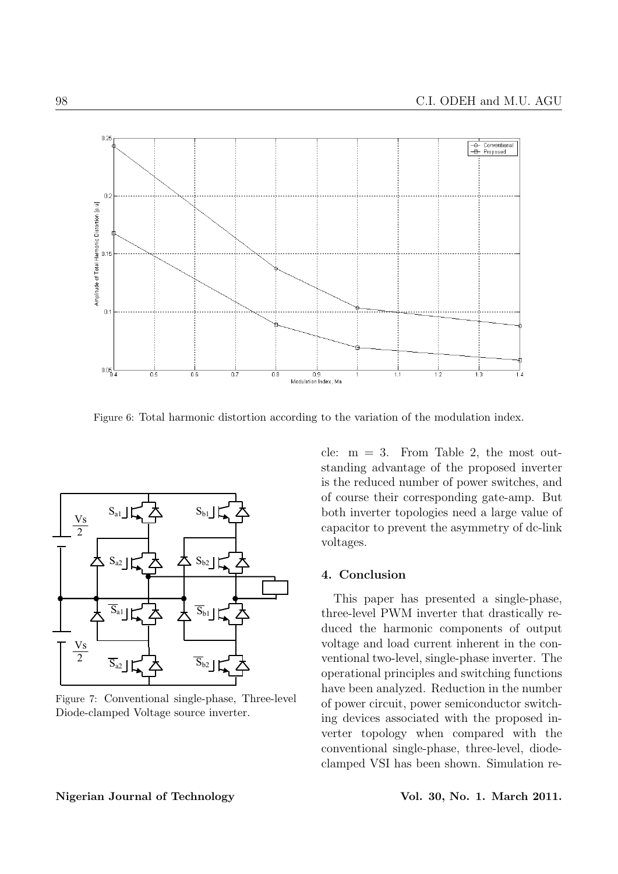

Figure 6: Total harmonic distortion according to the variation of the modulation index.



Figure 7: Conventional single-phase, Three-level Diode-clamped Voltage source inverter.

cle:  $m = 3$ . From Table 2, the most outstanding advantage of the proposed inverter is the reduced number of power switches, and of course their corresponding gate-amp. But both inverter topologies need a large value of capacitor to prevent the asymmetry of dc-link voltages.

# 4. Conclusion

This paper has presented a single-phase, three-level PWM inverter that drastically reduced the harmonic components of output voltage and load current inherent in the conventional two-level, single-phase inverter. The operational principles and switching functions have been analyzed. Reduction in the number of power circuit, power semiconductor switching devices associated with the proposed inverter topology when compared with the conventional single-phase, three-level, diodeclamped VSI has been shown. Simulation re